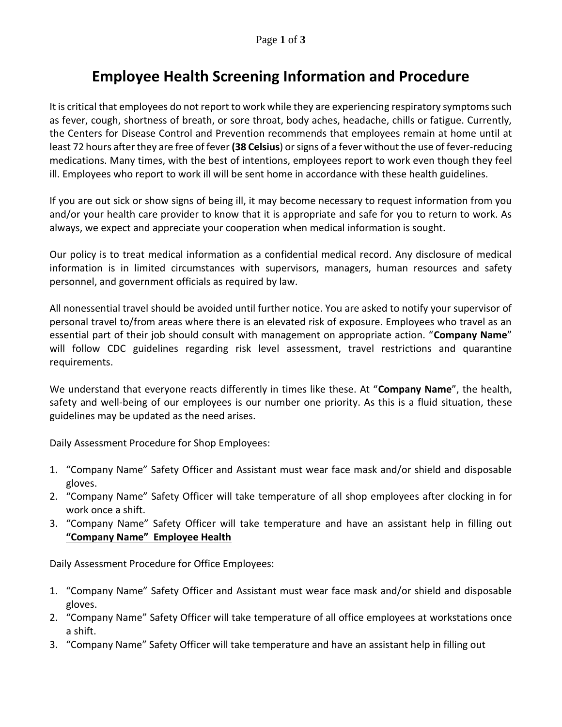## **Employee Health Screening Information and Procedure**

It is critical that employees do not report to work while they are experiencing respiratory symptoms such as fever, cough, shortness of breath, or sore throat, body aches, headache, chills or fatigue. Currently, the Centers for Disease Control and Prevention recommends that employees remain at home until at least 72 hours after they are free of fever **(38 Celsius**) or signs of a fever without the use of fever-reducing medications. Many times, with the best of intentions, employees report to work even though they feel ill. Employees who report to work ill will be sent home in accordance with these health guidelines.

If you are out sick or show signs of being ill, it may become necessary to request information from you and/or your health care provider to know that it is appropriate and safe for you to return to work. As always, we expect and appreciate your cooperation when medical information is sought.

Our policy is to treat medical information as a confidential medical record. Any disclosure of medical information is in limited circumstances with supervisors, managers, human resources and safety personnel, and government officials as required by law.

All nonessential travel should be avoided until further notice. You are asked to notify your supervisor of personal travel to/from areas where there is an elevated risk of exposure. Employees who travel as an essential part of their job should consult with management on appropriate action. "**Company Name**" will follow CDC guidelines regarding risk level assessment, travel restrictions and quarantine requirements.

We understand that everyone reacts differently in times like these. At "**Company Name**", the health, safety and well-being of our employees is our number one priority. As this is a fluid situation, these guidelines may be updated as the need arises.

Daily Assessment Procedure for Shop Employees:

- 1. "Company Name" Safety Officer and Assistant must wear face mask and/or shield and disposable gloves.
- 2. "Company Name" Safety Officer will take temperature of all shop employees after clocking in for work once a shift.
- 3. "Company Name" Safety Officer will take temperature and have an assistant help in filling out **"Company Name" Employee Health**

Daily Assessment Procedure for Office Employees:

- 1. "Company Name" Safety Officer and Assistant must wear face mask and/or shield and disposable gloves.
- 2. "Company Name" Safety Officer will take temperature of all office employees at workstations once a shift.
- 3. "Company Name" Safety Officer will take temperature and have an assistant help in filling out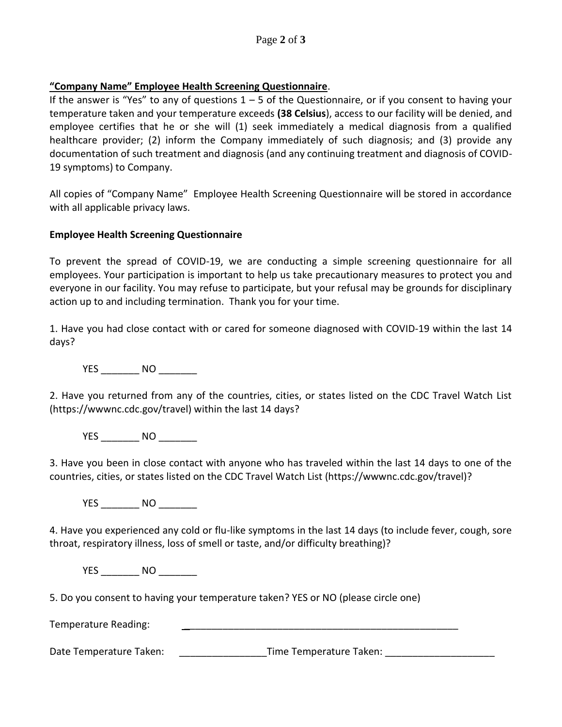## **"Company Name" Employee Health Screening Questionnaire**.

If the answer is "Yes" to any of questions  $1 - 5$  of the Questionnaire, or if you consent to having your temperature taken and your temperature exceeds **(38 Celsius**), access to our facility will be denied, and employee certifies that he or she will (1) seek immediately a medical diagnosis from a qualified healthcare provider; (2) inform the Company immediately of such diagnosis; and (3) provide any documentation of such treatment and diagnosis (and any continuing treatment and diagnosis of COVID-19 symptoms) to Company.

All copies of "Company Name" Employee Health Screening Questionnaire will be stored in accordance with all applicable privacy laws.

## **Employee Health Screening Questionnaire**

To prevent the spread of COVID-19, we are conducting a simple screening questionnaire for all employees. Your participation is important to help us take precautionary measures to protect you and everyone in our facility. You may refuse to participate, but your refusal may be grounds for disciplinary action up to and including termination. Thank you for your time.

1. Have you had close contact with or cared for someone diagnosed with COVID-19 within the last 14 days?

YES NO

2. Have you returned from any of the countries, cities, or states listed on the CDC Travel Watch List (https://wwwnc.cdc.gov/travel) within the last 14 days?

YES \_\_\_\_\_\_\_\_\_ NO \_\_\_\_\_\_\_\_\_

3. Have you been in close contact with anyone who has traveled within the last 14 days to one of the countries, cities, or states listed on the CDC Travel Watch List (https://wwwnc.cdc.gov/travel)?

YES NO

4. Have you experienced any cold or flu-like symptoms in the last 14 days (to include fever, cough, sore throat, respiratory illness, loss of smell or taste, and/or difficulty breathing)?

YES NO

5. Do you consent to having your temperature taken? YES or NO (please circle one)

Temperature Reading:

Date Temperature Taken: example and the Temperature Taken:  $\Box$